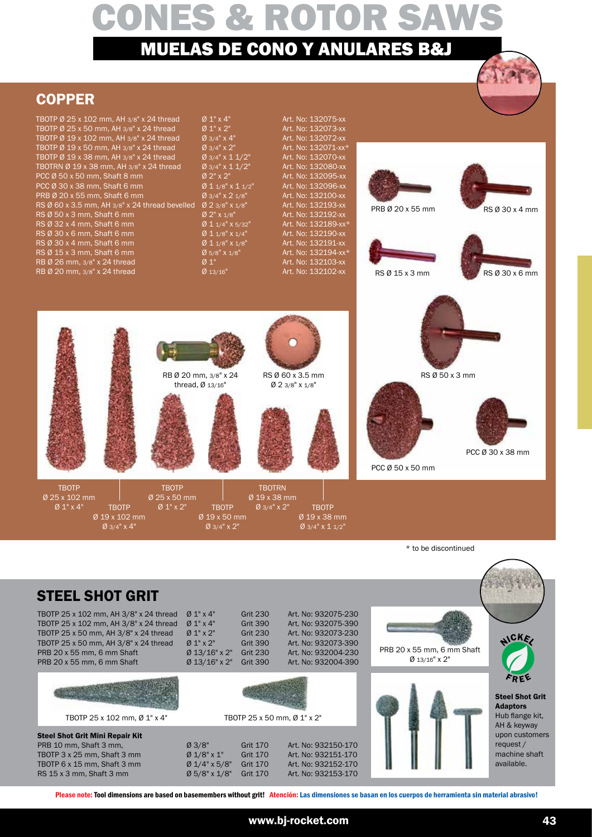# **COPPER**



|  | TBOTP Ø 25 x 102 mm, AH 3/8" x 24 thread          | Ø 1" x 4"                             | Art. No: 132075-xx  |                  |                |
|--|---------------------------------------------------|---------------------------------------|---------------------|------------------|----------------|
|  | TBOTP $\emptyset$ 25 x 50 mm, AH 3/8" x 24 thread | $Ø 1" \times 2"$                      | Art. No: 132073-xx  |                  |                |
|  | TBOTP Ø 19 x 102 mm, AH 3/8" x 24 thread          | $Ø$ 3/4" $X$ 4"                       | Art. No: 132072-xx  |                  |                |
|  | TBOTP Ø 19 x 50 mm, AH 3/8" x 24 thread           | $Ø$ 3/4" $X$ 2"                       | Art. No: 132071-xx* |                  |                |
|  | TBOTP Ø 19 x 38 mm, AH 3/8" x 24 thread           | $Ø$ 3/4" x 1 1/2"                     | Art. No: 132070-xx  |                  |                |
|  | TBOTRN Ø 19 x 38 mm, AH 3/8" x 24 thread          | $\cancel{0}3/4$ " x 1 $\frac{1}{2}$ " | Art. No: 132080-xx  |                  |                |
|  | PCC Ø 50 x 50 mm, Shaft 8 mm                      | $Ø 2" \times 2"$                      | Art. No: 132095-xx  |                  |                |
|  | PCC Ø 30 x 38 mm, Shaft 6 mm                      | $Ø$ 1 1/8" $X$ 1 1/2"                 | Art. No: 132096-xx  |                  |                |
|  | PRB Ø 20 x 55 mm, Shaft 6 mm                      | $Ø$ 3/4" $X$ 2 1/8"                   | Art. No: 132100-xx  |                  |                |
|  | RS Ø 60 x 3.5 mm, AH 3/8" x 24 thread bevelled    | $Ø$ 2 3/8" X 1/8"                     | Art. No: 132193-xx  | PRB Ø 20 x 55 mm |                |
|  | $RS \emptyset$ 50 x 3 mm, Shaft 6 mm              | Ø 2" X 1/8"                           | Art. No: 132192-xx  |                  | RS Ø 30 x 4 mm |
|  | $RS \varnothing$ 32 x 4 mm, Shaft 6 mm            | $Ø$ 1 1/4" X 5/32"                    | Art. No: 132189-xx* |                  |                |
|  | RS Ø 30 x 6 mm, Shaft 6 mm                        | $Ø$ 1 1/8" X 1/4"                     | Art. No: 132190-xx  |                  |                |
|  | $RS \varnothing$ 30 x 4 mm, Shaft 6 mm            | $Ø$ 1 1/8" X 1/8"                     | Art. No: 132191-xx  |                  |                |
|  | $RS \varnothing 15 x 3 mm$ , Shaft 6 mm           | $Ø$ 5/8" X 1/8"                       | Art. No: 132194-xx* |                  |                |
|  | RB Ø 26 mm, 3/8" x 24 thread                      | $Ø_1"$                                | Art. No: 132103-xx  |                  |                |
|  | RB Ø 20 mm, 3/8" x 24 thread                      | $Ø$ 13/16"                            | Art. No: 132102-xx  | RS Ø 15 x 3 mm   | RS Ø 30 x 6 mm |
|  |                                                   |                                       |                     |                  |                |
|  |                                                   |                                       |                     |                  |                |
|  |                                                   |                                       |                     |                  |                |
|  |                                                   |                                       |                     |                  |                |
|  |                                                   |                                       |                     |                  |                |
|  |                                                   |                                       |                     |                  |                |
|  |                                                   |                                       |                     |                  |                |
|  |                                                   |                                       |                     |                  |                |
|  |                                                   | RB Ø 20 mm, 3/8" x 24                 | RS Ø 60 x 3.5 mm    | RS Ø 50 x 3 mm   |                |
|  |                                                   | thread, $Ø$ 13/16"                    | $Ø$ 2 3/8" X 1/8"   |                  |                |
|  |                                                   |                                       |                     |                  |                |
|  |                                                   |                                       |                     |                  |                |

\* to be discontinued

PCC Ø 50 x 50 mm

## STEEL SHOT GRIT

TBOTP Ø 25 x 102 mm Ø 1" x 4"

TBOTP 25 x 102 mm, AH 3/8" x 24 thread  $\varnothing$  1" x 4" Grit 230 Art. No: 932075-230 TBOTP 25 x 102 mm, AH 3/8" x 24 thread Ø 1" x 4" Grit 390 Art. No: 932075-390 TBOTP 25 x 50 mm, AH 3/8" x 24 thread  $\varnothing$  1" x 2" Grit 230 Art. No: 932073-230 TBOTP 25 x 50 mm, AH 3/8" x 24 thread Ø 1" x 2" Grit 390 Art. No: 932073-390 PRB 20 x 55 mm, 6 mm Shaft Ø 13/16" x 2" Grit 230 Art. No: 932004-230 PRB 20 x 55 mm, 6 mm Shaft Ø 13/16" x 2" Grit 390 Art. No: 932004-390

Ø 19 x 102 mm Ø 3/4" x 4"



TBOTP 25 x 102 mm, Ø 1" x 4"

### Steel Shot Grit Mini Repair Kit PRB 10 mm, Shaft 3 mm,<br>
TBOTP 3 x 25 mm, Shaft 3 mm  $\begin{array}{ll}\n\emptyset & 3/8" \\
\hline\n\end{array}$  Grit 170 Art. No: 932151-170

TBOTP 3 x 25 mm, Shaft 3 mm  $0 \frac{1}{8}$  x 1" Grit 170 Art. No: 932151-170<br>TBOTP 6 x 15 mm, Shaft 3 mm  $0 \frac{1}{4}$  x 5/8" Grit 170 Art. No: 932152-170 TBOTP 6 x 15 mm, Shaft 3 mm  $\emptyset$  1/4" x 5/8" Grit 170 RS 15 x 3 mm, Shaft 3 mm Ø 5/8" x 1/8" Grit 170 Art. No: 932153-170



TBOTP Ø 25 x 50 mm Ø 1" x 2"

TBOTP  $\emptyset$  1" x 2" TBOTP  $\emptyset$  3/4" x 2"

TBOTP Ø 19 x 50 mm Ø 3/4" x 2"

TBOTP Ø 19 x 38 mm  $Ø$  3/4"  $\times$  1 1/2"



TBOTRN Ø 19 x 38 mm

#### TBOTP 25 x 50 mm, Ø 1" x 2"







**NOK** 

PCC Ø 30 x 38 mm

Steel Shot Grit Adaptors Hub flange kit, AH & keyway upon customers request / machine shaft available.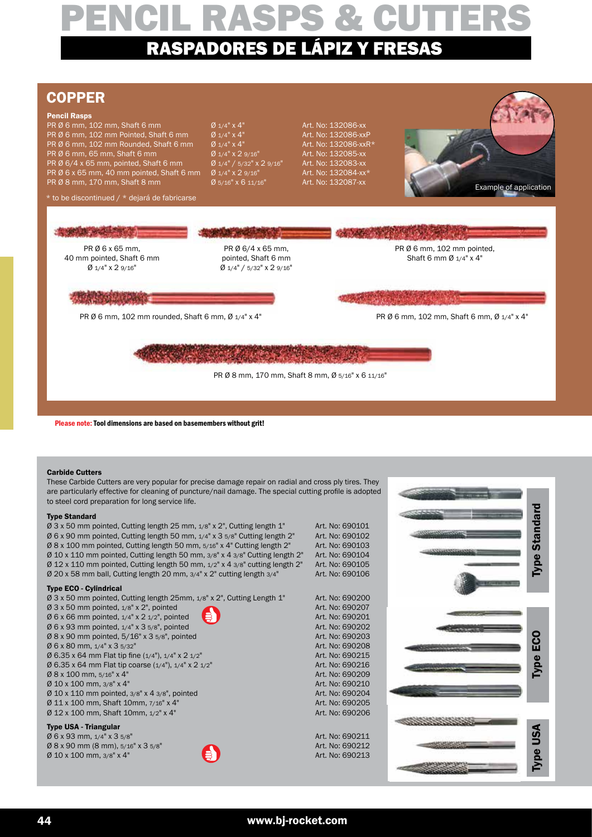## COPPER

#### Pencil Rasps

**PR Ø 6 mm, 102 mm, Shaft 6 mm**  $\sigma$   $\sigma$   $1/4$ " x  $4$ " Art. No: 132086-xx PR Ø 6 mm, 102 mm Pointed, Shaft 6 mm  $\sigma$  1/4" x 4" Art. No: 132086-xxP<br>PR Ø 6 mm, 102 mm Rounded, Shaft 6 mm  $\sigma$  1/4" x 4" Art. No: 132086-xxR\* PR Ø 6 mm, 102 mm Rounded, Shaft 6 mm PR Ø 6 mm, 65 mm, Shaft 6 mm<br>
PR Ø 6/4 x 65 mm, pointed, Shaft 6 mm  $\frac{0.91}{4}$  / 5/32" x 2 9/16" Art. No: 132083-xx PR Ø 6/4 x 65 mm, pointed, Shaft 6 mm  $\emptyset$  1/4" / 5/32" x 2 9/16" PR  $\emptyset$  6 x 65 mm, 40 mm pointed, Shaft 6 mm  $\emptyset$  1/4" x 2 9/16" Art. No: 132084-xx\* PR Ø 8 mm, 170 mm, Shaft 8 mm  $\%$  5/16" x 6 11/16" Art. No: 132087-xx

#### $*$  to be discontinued /  $*$  dejará de fabricarse

PR Ø 6 x 65 mm, 40 mm pointed, Shaft 6 mm Ø 1/4" x 2 9/16" PR Ø 6/4 x 65 mm, pointed, Shaft 6 mm Ø 1/4" / 5/32" x 2 9/16" PR Ø 6 mm, 102 mm pointed. Shaft 6 mm Ø 1/4" x 4" PR Ø 6 mm, 102 mm rounded, Shaft 6 mm, Ø 1/4" x 4" PR Ø 6 mm, 102 mm, Shaft 6 mm, Ø 1/4" x 4"

PR Ø 8 mm, 170 mm, Shaft 8 mm, Ø 5/16" x 6 11/16"

Please note: Tool dimensions are based on basemembers without grit!

#### Carbide Cutters

These Carbide Cutters are very popular for precise damage repair on radial and cross ply tires. They are particularly effective for cleaning of puncture/nail damage. The special cutting profile is adopted to steel cord preparation for long service life.

#### Type Standard

 $\varnothing$  3 x 50 mm pointed, Cutting length 25 mm,  $1/8$ " x 2", Cutting length 1" Art. No: 690101  $\emptyset$  6 x 90 mm pointed, Cutting length 50 mm,  $1/4$ " x 3  $5/8$ " Cutting length 2" Art. No: 690102 Ø 8 x 100 mm pointed, Cutting length 50 mm, 5/16" x 4" Cutting length 2" Art. No: 690103  $\emptyset$  10 x 110 mm pointed, Cutting length 50 mm,  $3/8$ " x 4  $3/8$ " Cutting length 2" Art. No: 690104  $\emptyset$  12 x 110 mm pointed. Cutting length 50 mm,  $1/2$ " x 4  $3/8$ " cutting length 2" Art. No: 690105  $\emptyset$  12 x 110 mm pointed, Cutting length 50 mm,  $1/2$ " x 4  $3/8$ " cutting length 2" Art. No: 690105<br> $\emptyset$  20 x 58 mm ball. Cutting length 20 mm,  $3/4$ " x 2" cutting length  $3/4$ " Art. No: 690106  $Ø$  20 x 58 mm ball, Cutting length 20 mm,  $3/4"$  x 2" cutting length  $3/4"$ 

#### Type ECO - Cylindrical

 $\emptyset$  3 x 50 mm pointed, Cutting length 25mm,  $1/8$ " x 2", Cutting Length 1" Art. No: 690200<br> $\emptyset$  3 x 50 mm pointed.  $1/8$ " x 2", pointed  $\emptyset$  3 x 50 mm pointed,  $\frac{1}{8}$ ,  $\emptyset$  3 x 50 mm pointed  $\emptyset$  6 x 66 mm pointed.  $\frac{1}{4}$  x 2  $\frac{1}{2}$ , pointed  $\bullet$  Art. No: 690201  $\varnothing$  6 x 66 mm pointed,  $1/4$ " x 2  $1/2$ ", pointed  $\emptyset$  6 x 93 mm pointed,  $1/4$ " x 3  $5/8$ ", pointed Art. No: 690202  $\emptyset$  8 x 90 mm pointed, 5/16" x 3  $5/8$ ", pointed  $\blacksquare$  Art. No: 690203  $\emptyset$  6 x 80 mm,  $1/4$ " x 3 5/32" Art. No: 690208  $\emptyset$  6.35 x 64 mm Flat tip fine  $(1/4)$ ,  $1/4$ " x 2  $1/2$ " Art. No: 690215  $\emptyset$  6.35 x 64 mm Flat tip coarse (1/4"), 1/4" x 2 1/2" Art. No: 690216 Ø 8 x 100 mm, 5/16" x 4" Art. No: 690209  $\emptyset$  10 x 100 mm,  $3/8$ " x 4"  $\blacksquare$  Art. No: 690210  $\emptyset$  10 x 110 mm pointed, 3/8" x 4 3/8", pointed  $\emptyset$  11 x 100 mm, Shaft 10mm,  $7/16$ " x 4" Ø 11 x 100 mm, Shaft 10mm, 7/16" x 4"  $\emptyset$  12 x 100 mm, Shaft 10mm,  $1/2$ " x 4" Art. No: 690206

#### Type USA - Triangular

 $\emptyset$  6 x 93 mm, 1/4" x 3 5/8" <br> $\emptyset$  8 x 90 mm (8 mm), 5/16" x 3 5/8"  $\bullet$  Art. No: 690211  $\emptyset$  8 x 90 mm (8 mm), 5/16" x 3 5/8"  $\emptyset$  10 x 100 mm,  $3/8$ " x 4"  $\qquad \qquad \qquad$   $\qquad \qquad$   $\qquad \qquad$   $\qquad \qquad$   $\qquad \qquad$   $\qquad \qquad$  Art. No: 690213